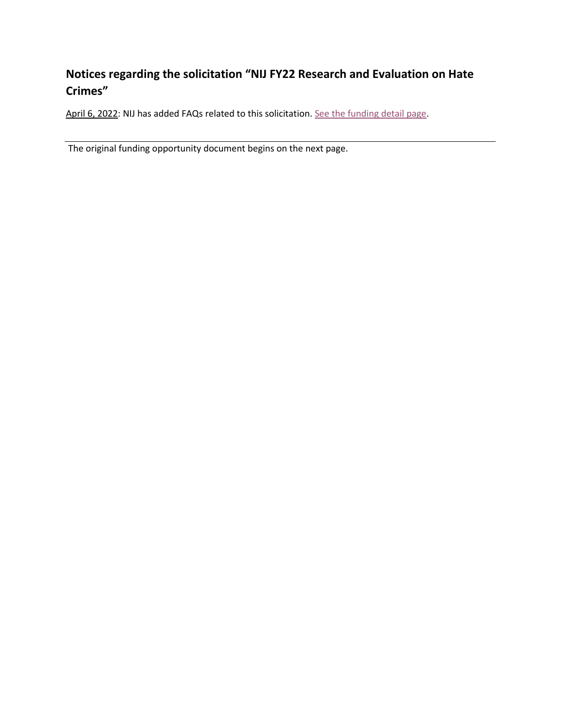## **Notices regarding the solicitation "NIJ FY22 Research and Evaluation on Hate Crimes"**

April 6, 2022: NIJ has added FAQs related to this solicitation[. See the funding detail page.](https://nij.ojp.gov/funding/opportunities/o-nij-2022-171191)

The original funding opportunity document begins on the next page.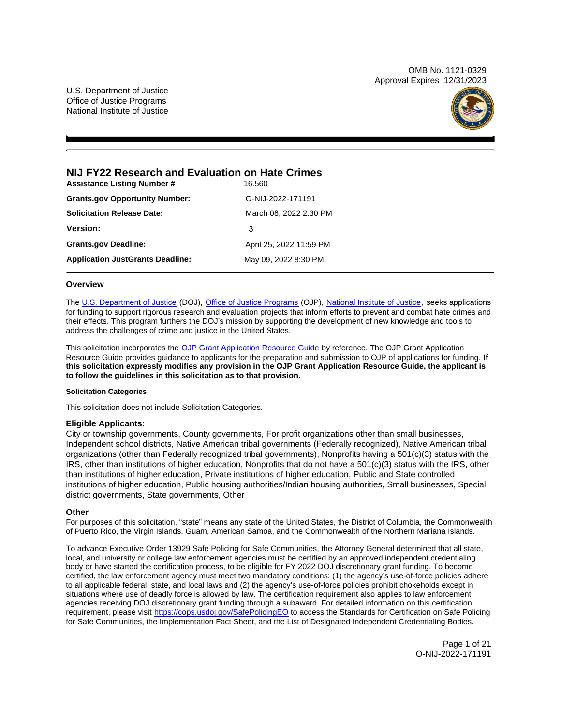OMB No. 1121-0329 Approval Expires 12/31/2023

U.S. Department of Justice Office of Justice Programs National Institute of Justice



## **NIJ FY22 Research and Evaluation on Hate Crimes**

| <b>Assistance Listing Number #</b>      | 16.560                  |
|-----------------------------------------|-------------------------|
| <b>Grants.gov Opportunity Number:</b>   | O-NIJ-2022-171191       |
| <b>Solicitation Release Date:</b>       | March 08, 2022 2:30 PM  |
| <b>Version:</b>                         | 3                       |
| <b>Grants.gov Deadline:</b>             | April 25, 2022 11:59 PM |
| <b>Application JustGrants Deadline:</b> | May 09, 2022 8:30 PM    |

## **Overview**

The [U.S. Department of Justice](https://www.usdoj.gov/) (DOJ), [Office of Justice Programs](https://www.ojp.usdoj.gov/) (OJP), [National Institute of Justice,](https://nij.ojp.gov/) seeks applications for funding to support rigorous research and evaluation projects that inform efforts to prevent and combat hate crimes and their effects. This program furthers the DOJ's mission by supporting the development of new knowledge and tools to address the challenges of crime and justice in the United States.

This solicitation incorporates the [OJP Grant Application Resource Guide](https://www.ojp.gov/funding/Apply/Resources/Grant-App-Resource-Guide.htm) by reference. The OJP Grant Application Resource Guide provides guidance to applicants for the preparation and submission to OJP of applications for funding. **If this solicitation expressly modifies any provision in the OJP Grant Application Resource Guide, the applicant is to follow the guidelines in this solicitation as to that provision.** 

## **Solicitation Categories**

This solicitation does not include Solicitation Categories.

## **Eligible Applicants:**

City or township governments, County governments, For profit organizations other than small businesses, Independent school districts, Native American tribal governments (Federally recognized), Native American tribal organizations (other than Federally recognized tribal governments), Nonprofits having a 501(c)(3) status with the IRS, other than institutions of higher education, Nonprofits that do not have a 501(c)(3) status with the IRS, other than institutions of higher education, Private institutions of higher education, Public and State controlled institutions of higher education, Public housing authorities/Indian housing authorities, Small businesses, Special district governments, State governments, Other

## **Other**

For purposes of this solicitation, "state" means any state of the United States, the District of Columbia, the Commonwealth of Puerto Rico, the Virgin Islands, Guam, American Samoa, and the Commonwealth of the Northern Mariana Islands.

To advance Executive Order 13929 Safe Policing for Safe Communities, the Attorney General determined that all state, local, and university or college law enforcement agencies must be certified by an approved independent credentialing body or have started the certification process, to be eligible for FY 2022 DOJ discretionary grant funding. To become certified, the law enforcement agency must meet two mandatory conditions: (1) the agency's use-of-force policies adhere to all applicable federal, state, and local laws and (2) the agency's use-of-force policies prohibit chokeholds except in situations where use of deadly force is allowed by law. The certification requirement also applies to law enforcement agencies receiving DOJ discretionary grant funding through a subaward. For detailed information on this certification requirement, please visit [https://cops.usdoj.gov/SafePolicingEO](https://cops.usdoj.gov/SafePolicingEO%20) to access the Standards for Certification on Safe Policing for Safe Communities, the Implementation Fact Sheet, and the List of Designated Independent Credentialing Bodies.

> Page 1 of 21 O-NIJ-2022-171191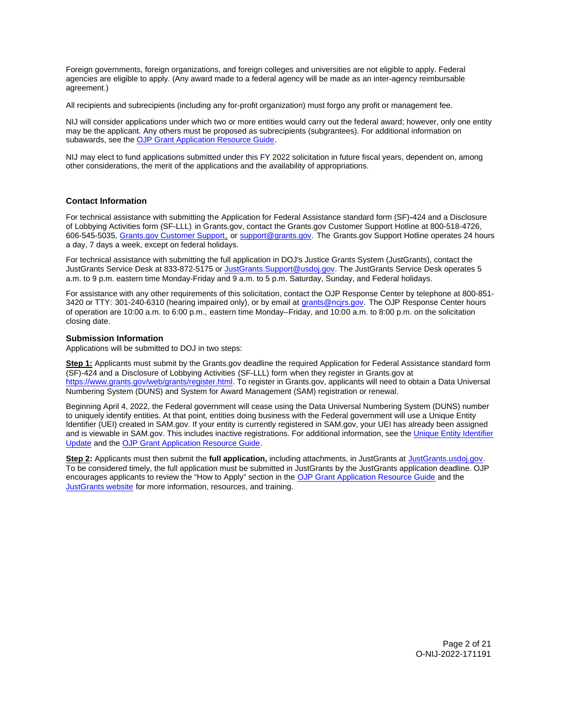<span id="page-2-0"></span>Foreign governments, foreign organizations, and foreign colleges and universities are not eligible to apply. Federal agencies are eligible to apply. (Any award made to a federal agency will be made as an inter-agency reimbursable agreement.)

All recipients and subrecipients (including any for-profit organization) must forgo any profit or management fee.

NIJ will consider applications under which two or more entities would carry out the federal award; however, only one entity may be the applicant. Any others must be proposed as subrecipients (subgrantees). For additional information on subawards, see the [OJP Grant Application Resource Guide.](https://www.ojp.gov/funding/Apply/Resources/Grant-App-Resource-Guide.htm)

NIJ may elect to fund applications submitted under this FY 2022 solicitation in future fiscal years, dependent on, among other considerations, the merit of the applications and the availability of appropriations.

## **Contact Information**

For technical assistance with submitting the Application for Federal Assistance standard form (SF)**-**424 and a Disclosure of Lobbying Activities form (SF-LLL) in [Grants.gov](https://Grants.gov), contact the [Grants.gov](https://Grants.gov) Customer Support Hotline at 800-518-4726, 606-545-5035, [Grants.gov Customer Support,](https://www.grants.gov/web/grants/support.html) or [support@grants.gov.](mailto:support@grants.gov) The [Grants.gov](https://Grants.gov) Support Hotline operates 24 hours a day, 7 days a week, except on federal holidays.

For technical assistance with submitting the full application in DOJ's Justice Grants System (JustGrants), contact the JustGrants Service Desk at 833-872-5175 or [JustGrants.Support@usdoj.gov.](mailto:JustGrants.Support@usdoj.gov) The JustGrants Service Desk operates 5 a.m. to 9 p.m. eastern time Monday-Friday and 9 a.m. to 5 p.m. Saturday, Sunday, and Federal holidays.

For assistance with any other requirements of this solicitation, contact the OJP Response Center by telephone at 800-851- 3420 or TTY: 301-240-6310 (hearing impaired only), or by email at [grants@ncjrs.gov.](mailto:grants@ncjrs.gov) The OJP Response Center hours of operation are 10:00 a.m. to 6:00 p.m., eastern time Monday–Friday, and 10:00 a.m. to 8:00 p.m. on the solicitation closing date.

## **Submission Information**

Applications will be submitted to DOJ in two steps:

**Step 1:** Applicants must submit by the [Grants.gov](https://Grants.gov) deadline the required Application for Federal Assistance standard form (SF)-424 and a Disclosure of Lobbying Activities (SF-LLL) form when they register in [Grants.gov](https://Grants.gov) at [https://www.grants.gov/web/grants/register.html.](https://www.grants.gov/web/grants/register.html) To register in [Grants.gov,](https://Grants.gov) applicants will need to obtain a Data Universal Numbering System (DUNS) and System for Award Management (SAM) registration or renewal.

Beginning April 4, 2022, the Federal government will cease using the Data Universal Numbering System (DUNS) number to uniquely identify entities. At that point, entities doing business with the Federal government will use a Unique Entity Identifier (UEI) created in SAM.gov. If your entity is currently registered in SAM.gov, your UEI has already been assigned and is viewable in SAM.gov. This includes inactive registrations. For additional information, see the [Unique Entity Identifier](https://www.gsa.gov/about-us/organization/federal-acquisition-service/office-of-systems-management/integrated-award-environment-iae/iae-systems-information-kit/unique-entity-identifier-update)  [Update](https://www.gsa.gov/about-us/organization/federal-acquisition-service/office-of-systems-management/integrated-award-environment-iae/iae-systems-information-kit/unique-entity-identifier-update) and the [OJP Grant Application Resource Guide.](https://www.ojp.gov/funding/apply/ojp-grant-application-resource-guide#unique-entity)

**Step 2:** Applicants must then submit the **full application,** including attachments, in JustGrants at [JustGrants.usdoj.gov.](https://justicegrants.usdoj.gov/) To be considered timely, the full application must be submitted in JustGrants by the JustGrants application deadline. OJP encourages applicants to review the "How to Apply" section in the [OJP Grant Application Resource Guide](https://www.ojp.gov/funding/apply/ojp-grant-application-resource-guide#apply) and the [JustGrants website](https://justicegrants.usdoj.gov/news) for more information, resources, and training.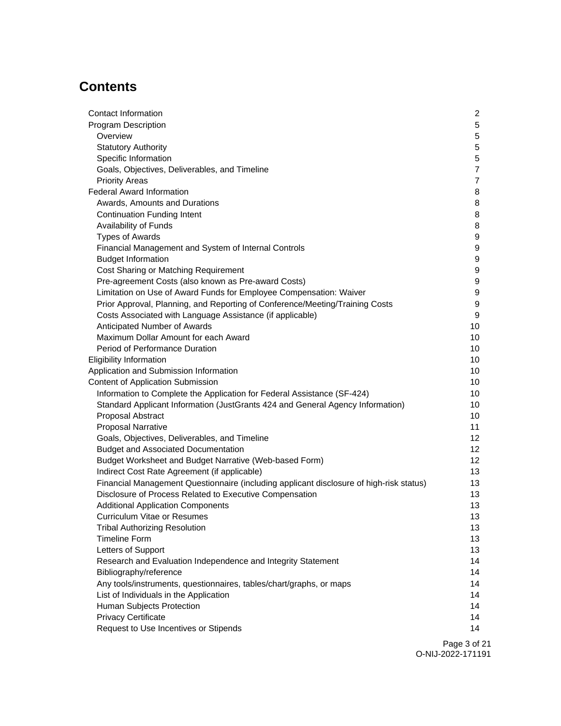# **Contents**

| Contact Information                                                                     | $\overline{2}$   |
|-----------------------------------------------------------------------------------------|------------------|
| <b>Program Description</b>                                                              | $5\phantom{.0}$  |
| Overview                                                                                | 5                |
| <b>Statutory Authority</b>                                                              | $\mathbf 5$      |
| Specific Information                                                                    | $\mathbf 5$      |
| Goals, Objectives, Deliverables, and Timeline                                           | $\overline{7}$   |
| <b>Priority Areas</b>                                                                   | $\overline{7}$   |
| <b>Federal Award Information</b>                                                        | 8                |
| Awards, Amounts and Durations                                                           | 8                |
| <b>Continuation Funding Intent</b>                                                      | 8                |
| Availability of Funds                                                                   | 8                |
| <b>Types of Awards</b>                                                                  | 9                |
| Financial Management and System of Internal Controls                                    | 9                |
| <b>Budget Information</b>                                                               | 9                |
| Cost Sharing or Matching Requirement                                                    | 9                |
| Pre-agreement Costs (also known as Pre-award Costs)                                     | 9                |
| Limitation on Use of Award Funds for Employee Compensation: Waiver                      | $\boldsymbol{9}$ |
| Prior Approval, Planning, and Reporting of Conference/Meeting/Training Costs            | $\boldsymbol{9}$ |
| Costs Associated with Language Assistance (if applicable)                               | $\boldsymbol{9}$ |
| Anticipated Number of Awards                                                            | 10               |
| Maximum Dollar Amount for each Award                                                    | 10               |
| Period of Performance Duration                                                          | 10               |
| <b>Eligibility Information</b>                                                          | 10               |
| Application and Submission Information                                                  | 10               |
| <b>Content of Application Submission</b>                                                | 10               |
| Information to Complete the Application for Federal Assistance (SF-424)                 | 10               |
| Standard Applicant Information (JustGrants 424 and General Agency Information)          | 10               |
| Proposal Abstract                                                                       | 10               |
| <b>Proposal Narrative</b>                                                               | 11               |
| Goals, Objectives, Deliverables, and Timeline                                           | 12               |
| <b>Budget and Associated Documentation</b>                                              | 12               |
| Budget Worksheet and Budget Narrative (Web-based Form)                                  | 12               |
| Indirect Cost Rate Agreement (if applicable)                                            | 13               |
| Financial Management Questionnaire (including applicant disclosure of high-risk status) | 13               |
| Disclosure of Process Related to Executive Compensation                                 | 13               |
| <b>Additional Application Components</b>                                                | 13               |
| Curriculum Vitae or Resumes                                                             | 13               |
| <b>Tribal Authorizing Resolution</b>                                                    | 13               |
| <b>Timeline Form</b>                                                                    | 13               |
| Letters of Support                                                                      | 13               |
| Research and Evaluation Independence and Integrity Statement                            | 14               |
| Bibliography/reference                                                                  | 14               |
| Any tools/instruments, questionnaires, tables/chart/graphs, or maps                     | 14               |
| List of Individuals in the Application                                                  | 14               |
| Human Subjects Protection                                                               | 14               |
| <b>Privacy Certificate</b>                                                              | 14               |
| Request to Use Incentives or Stipends                                                   | 14               |
|                                                                                         |                  |

Page 3 of 21 O-NIJ-2022-171191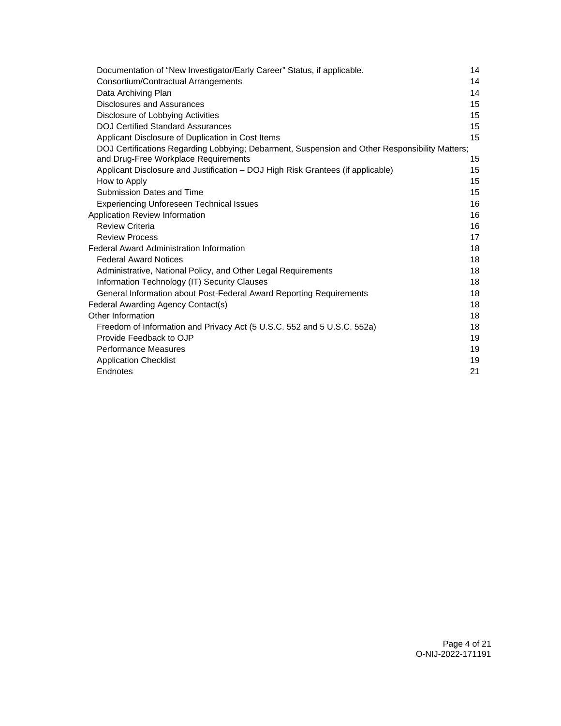| Documentation of "New Investigator/Early Career" Status, if applicable.                                                                | 14 |
|----------------------------------------------------------------------------------------------------------------------------------------|----|
| Consortium/Contractual Arrangements                                                                                                    | 14 |
| Data Archiving Plan                                                                                                                    | 14 |
| <b>Disclosures and Assurances</b>                                                                                                      | 15 |
| Disclosure of Lobbying Activities                                                                                                      | 15 |
| <b>DOJ Certified Standard Assurances</b>                                                                                               | 15 |
| Applicant Disclosure of Duplication in Cost Items                                                                                      | 15 |
| DOJ Certifications Regarding Lobbying; Debarment, Suspension and Other Responsibility Matters;<br>and Drug-Free Workplace Requirements | 15 |
| Applicant Disclosure and Justification - DOJ High Risk Grantees (if applicable)                                                        | 15 |
| How to Apply                                                                                                                           | 15 |
| Submission Dates and Time                                                                                                              | 15 |
| <b>Experiencing Unforeseen Technical Issues</b>                                                                                        | 16 |
| Application Review Information                                                                                                         | 16 |
| <b>Review Criteria</b>                                                                                                                 | 16 |
| <b>Review Process</b>                                                                                                                  | 17 |
| <b>Federal Award Administration Information</b>                                                                                        | 18 |
| <b>Federal Award Notices</b>                                                                                                           | 18 |
| Administrative, National Policy, and Other Legal Requirements                                                                          | 18 |
| Information Technology (IT) Security Clauses                                                                                           | 18 |
| General Information about Post-Federal Award Reporting Requirements                                                                    | 18 |
| Federal Awarding Agency Contact(s)                                                                                                     | 18 |
| Other Information                                                                                                                      | 18 |
| Freedom of Information and Privacy Act (5 U.S.C. 552 and 5 U.S.C. 552a)                                                                | 18 |
| Provide Feedback to OJP                                                                                                                | 19 |
| <b>Performance Measures</b>                                                                                                            | 19 |
| <b>Application Checklist</b>                                                                                                           | 19 |
| Endnotes                                                                                                                               | 21 |
|                                                                                                                                        |    |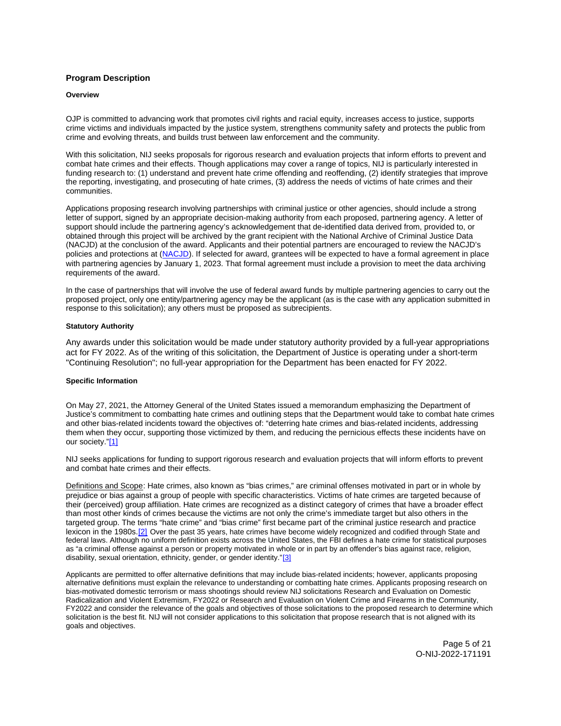## <span id="page-5-0"></span>**Program Description**

## **Overview**

OJP is committed to advancing work that promotes civil rights and racial equity, increases access to justice, supports crime victims and individuals impacted by the justice system, strengthens community safety and protects the public from crime and evolving threats, and builds trust between law enforcement and the community.

With this solicitation, NIJ seeks proposals for rigorous research and evaluation projects that inform efforts to prevent and combat hate crimes and their effects. Though applications may cover a range of topics, NIJ is particularly interested in funding research to: (1) understand and prevent hate crime offending and reoffending, (2) identify strategies that improve the reporting, investigating, and prosecuting of hate crimes, (3) address the needs of victims of hate crimes and their communities.

Applications proposing research involving partnerships with criminal justice or other agencies, should include a strong letter of support, signed by an appropriate decision-making authority from each proposed, partnering agency. A letter of support should include the partnering agency's acknowledgement that de-identified data derived from, provided to, or obtained through this project will be archived by the grant recipient with the National Archive of Criminal Justice Data (NACJD) at the conclusion of the award. Applicants and their potential partners are encouraged to review the NACJD's policies and protections at [\(NACJD\)](https://www.icpsr.umich.edu/web/pages/NACJD/archiving/deposit-nij-data.html). If selected for award, grantees will be expected to have a formal agreement in place with partnering agencies by January 1, 2023. That formal agreement must include a provision to meet the data archiving requirements of the award.

In the case of partnerships that will involve the use of federal award funds by multiple partnering agencies to carry out the proposed project, only one entity/partnering agency may be the applicant (as is the case with any application submitted in response to this solicitation); any others must be proposed as subrecipients.

## **Statutory Authority**

Any awards under this solicitation would be made under statutory authority provided by a full-year appropriations act for FY 2022. As of the writing of this solicitation, the Department of Justice is operating under a short-term "Continuing Resolution"; no full-year appropriation for the Department has been enacted for FY 2022.

#### **Specific Information**

On May 27, 2021, the Attorney General of the United States issued a memorandum emphasizing the Department of Justice's commitment to combatting hate crimes and outlining steps that the Department would take to combat hate crimes and other bias-related incidents toward the objectives of: "deterring hate crimes and bias-related incidents, addressing them when they occur, supporting those victimized by them, and reducing the pernicious effects these incidents have on our society.["\[1\]](#page-21-0) 

NIJ seeks applications for funding to support rigorous research and evaluation projects that will inform efforts to prevent and combat hate crimes and their effects.

Definitions and Scope: Hate crimes, also known as "bias crimes," are criminal offenses motivated in part or in whole by prejudice or bias against a group of people with specific characteristics. Victims of hate crimes are targeted because of their (perceived) group affiliation. Hate crimes are recognized as a distinct category of crimes that have a broader effect than most other kinds of crimes because the victims are not only the crime's immediate target but also others in the targeted group. The terms "hate crime" and "bias crime" first became part of the criminal justice research and practice lexicon in the 1980s.[\[2\]](#page-21-0) Over the past 35 years, hate crimes have become widely recognized and codified through State and federal laws. Although no uniform definition exists across the United States, the FBI defines a hate crime for statistical purposes as "a criminal offense against a person or property motivated in whole or in part by an offender's bias against race, religion, disability, sexual orientation, ethnicity, gender, or gender identity."[3]

Applicants are permitted to offer alternative definitions that may include bias-related incidents; however, applicants proposing alternative definitions must explain the relevance to understanding or combatting hate crimes. Applicants proposing research on bias-motivated domestic terrorism or mass shootings should review NIJ solicitations Research and Evaluation on Domestic Radicalization and Violent Extremism, FY2022 or Research and Evaluation on Violent Crime and Firearms in the Community, FY2022 and consider the relevance of the goals and objectives of those solicitations to the proposed research to determine which solicitation is the best fit. NIJ will not consider applications to this solicitation that propose research that is not aligned with its goals and objectives.

> Page 5 of 21 O-NIJ-2022-171191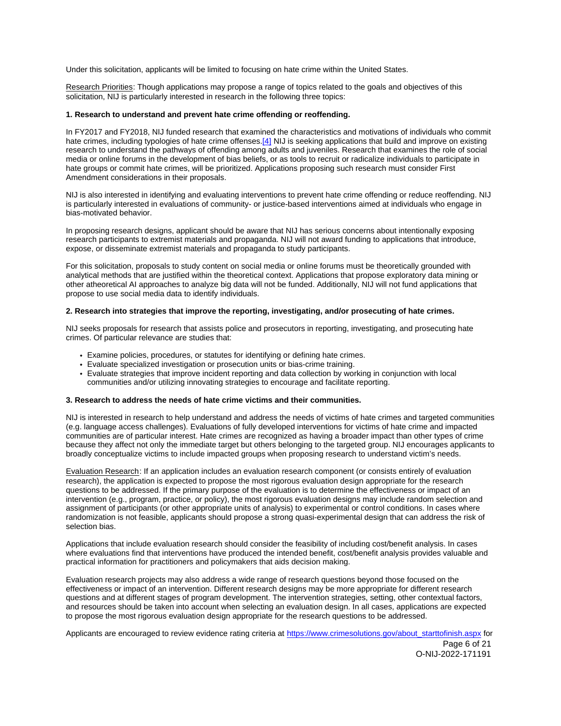Under this solicitation, applicants will be limited to focusing on hate crime within the United States.

Research Priorities: Though applications may propose a range of topics related to the goals and objectives of this solicitation, NIJ is particularly interested in research in the following three topics:

## **1. Research to understand and prevent hate crime offending or reoffending.**

In FY2017 and FY2018, NIJ funded research that examined the characteristics and motivations of individuals who commit hate crimes, including typologies of hate crime offenses.[\[4\]](#page-21-0) NIJ is seeking applications that build and improve on existing research to understand the pathways of offending among adults and juveniles. Research that examines the role of social media or online forums in the development of bias beliefs, or as tools to recruit or radicalize individuals to participate in hate groups or commit hate crimes, will be prioritized. Applications proposing such research must consider First Amendment considerations in their proposals.

NIJ is also interested in identifying and evaluating interventions to prevent hate crime offending or reduce reoffending. NIJ is particularly interested in evaluations of community- or justice-based interventions aimed at individuals who engage in bias-motivated behavior.

In proposing research designs, applicant should be aware that NIJ has serious concerns about intentionally exposing research participants to extremist materials and propaganda. NIJ will not award funding to applications that introduce, expose, or disseminate extremist materials and propaganda to study participants.

For this solicitation, proposals to study content on social media or online forums must be theoretically grounded with analytical methods that are justified within the theoretical context. Applications that propose exploratory data mining or other atheoretical AI approaches to analyze big data will not be funded. Additionally, NIJ will not fund applications that propose to use social media data to identify individuals.

## **2. Research into strategies that improve the reporting, investigating, and/or prosecuting of hate crimes.**

NIJ seeks proposals for research that assists police and prosecutors in reporting, investigating, and prosecuting hate crimes. Of particular relevance are studies that:

- Examine policies, procedures, or statutes for identifying or defining hate crimes.
- Evaluate specialized investigation or prosecution units or bias-crime training.
- Evaluate strategies that improve incident reporting and data collection by working in conjunction with local communities and/or utilizing innovating strategies to encourage and facilitate reporting.

## **3. Research to address the needs of hate crime victims and their communities.**

NIJ is interested in research to help understand and address the needs of victims of hate crimes and targeted communities (e.g. language access challenges). Evaluations of fully developed interventions for victims of hate crime and impacted communities are of particular interest. Hate crimes are recognized as having a broader impact than other types of crime because they affect not only the immediate target but others belonging to the targeted group. NIJ encourages applicants to broadly conceptualize victims to include impacted groups when proposing research to understand victim's needs.

Evaluation Research: If an application includes an evaluation research component (or consists entirely of evaluation research), the application is expected to propose the most rigorous evaluation design appropriate for the research questions to be addressed. If the primary purpose of the evaluation is to determine the effectiveness or impact of an intervention (e.g., program, practice, or policy), the most rigorous evaluation designs may include random selection and assignment of participants (or other appropriate units of analysis) to experimental or control conditions. In cases where randomization is not feasible, applicants should propose a strong quasi-experimental design that can address the risk of selection bias.

Applications that include evaluation research should consider the feasibility of including cost/benefit analysis. In cases where evaluations find that interventions have produced the intended benefit, cost/benefit analysis provides valuable and practical information for practitioners and policymakers that aids decision making.

Evaluation research projects may also address a wide range of research questions beyond those focused on the effectiveness or impact of an intervention. Different research designs may be more appropriate for different research questions and at different stages of program development. The intervention strategies, setting, other contextual factors, and resources should be taken into account when selecting an evaluation design. In all cases, applications are expected to propose the most rigorous evaluation design appropriate for the research questions to be addressed.

Applicants are encouraged to review evidence rating criteria at [https://www.crimesolutions.gov/about\\_starttofinish.aspx](https://www.crimesolutions.gov/about_starttofinish.aspx) for

Page 6 of 21 O-NIJ-2022-171191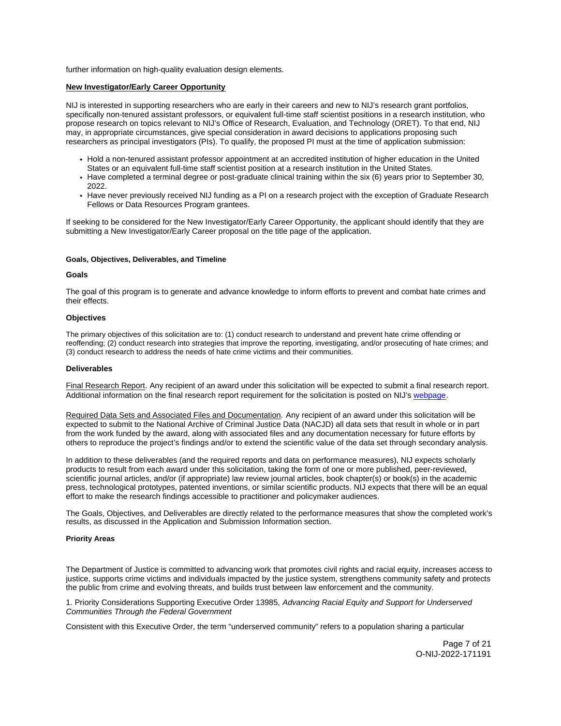<span id="page-7-0"></span>further information on high-quality evaluation design elements.

## **New Investigator/Early Career Opportunity**

NIJ is interested in supporting researchers who are early in their careers and new to NIJ's research grant portfolios, specifically non-tenured assistant professors, or equivalent full-time staff scientist positions in a research institution, who propose research on topics relevant to NIJ's Office of Research, Evaluation, and Technology (ORET). To that end, NIJ may, in appropriate circumstances, give special consideration in award decisions to applications proposing such researchers as principal investigators (PIs). To qualify, the proposed PI must at the time of application submission:

- Hold a non-tenured assistant professor appointment at an accredited institution of higher education in the United States or an equivalent full-time staff scientist position at a research institution in the United States.
- Have completed a terminal degree or post-graduate clinical training within the six (6) years prior to September 30, 2022.
- Have never previously received NIJ funding as a PI on a research project with the exception of Graduate Research Fellows or Data Resources Program grantees.

If seeking to be considered for the New Investigator/Early Career Opportunity, the applicant should identify that they are submitting a New Investigator/Early Career proposal on the title page of the application.

#### **Goals, Objectives, Deliverables, and Timeline**

#### **Goals**

The goal of this program is to generate and advance knowledge to inform efforts to prevent and combat hate crimes and their effects.

## **Objectives**

The primary objectives of this solicitation are to: (1) conduct research to understand and prevent hate crime offending or reoffending; (2) conduct research into strategies that improve the reporting, investigating, and/or prosecuting of hate crimes; and (3) conduct research to address the needs of hate crime victims and their communities.

## **Deliverables**

Final Research Report. Any recipient of an award under this solicitation will be expected to submit a final research report. Additional information on the final research report requirement for the solicitation is posted on NIJ's [webpage.](https://nij.ojp.gov/funding/research-development-and-evaluation-grant-award-requirements#xp5fv)

Required Data Sets and Associated Files and Documentation. Any recipient of an award under this solicitation will be expected to submit to the National Archive of Criminal Justice Data (NACJD) all data sets that result in whole or in part from the work funded by the award, along with associated files and any documentation necessary for future efforts by others to reproduce the project's findings and/or to extend the scientific value of the data set through secondary analysis.

In addition to these deliverables (and the required reports and data on performance measures), NIJ expects scholarly products to result from each award under this solicitation, taking the form of one or more published, peer-reviewed, scientific journal articles, and/or (if appropriate) law review journal articles, book chapter(s) or book(s) in the academic press, technological prototypes, patented inventions, or similar scientific products. NIJ expects that there will be an equal effort to make the research findings accessible to practitioner and policymaker audiences.

The Goals, Objectives, and Deliverables are directly related to the performance measures that show the completed work's results, as discussed in the Application and Submission Information section.

#### **Priority Areas**

The Department of Justice is committed to advancing work that promotes civil rights and racial equity, increases access to justice, supports crime victims and individuals impacted by the justice system, strengthens community safety and protects the public from crime and evolving threats, and builds trust between law enforcement and the community.

1. Priority Considerations Supporting Executive Order 13985, Advancing Racial Equity and Support for Underserved Communities Through the Federal Government

Consistent with this Executive Order, the term "underserved community" refers to a population sharing a particular

Page 7 of 21 O-NIJ-2022-171191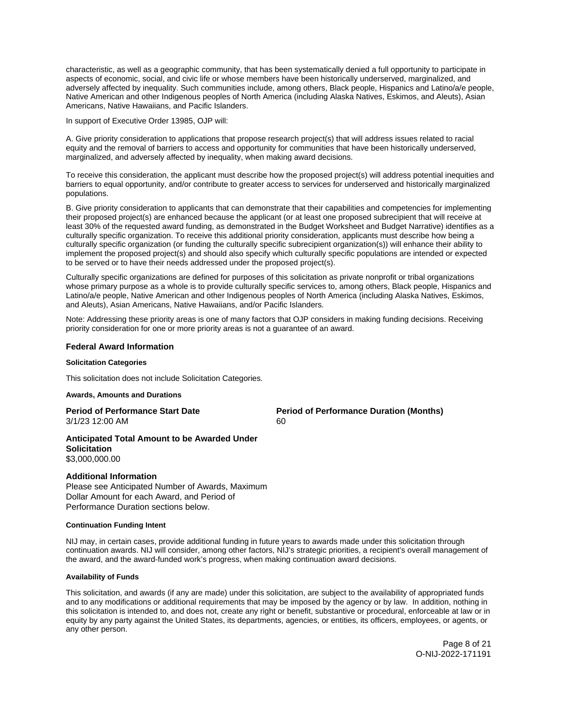<span id="page-8-0"></span>characteristic, as well as a geographic community, that has been systematically denied a full opportunity to participate in aspects of economic, social, and civic life or whose members have been historically underserved, marginalized, and adversely affected by inequality. Such communities include, among others, Black people, Hispanics and Latino/a/e people, Native American and other Indigenous peoples of North America (including Alaska Natives, Eskimos, and Aleuts), Asian Americans, Native Hawaiians, and Pacific Islanders.

In support of Executive Order 13985, OJP will:

A. Give priority consideration to applications that propose research project(s) that will address issues related to racial equity and the removal of barriers to access and opportunity for communities that have been historically underserved, marginalized, and adversely affected by inequality, when making award decisions.

To receive this consideration, the applicant must describe how the proposed project(s) will address potential inequities and barriers to equal opportunity, and/or contribute to greater access to services for underserved and historically marginalized populations.

B. Give priority consideration to applicants that can demonstrate that their capabilities and competencies for implementing their proposed project(s) are enhanced because the applicant (or at least one proposed subrecipient that will receive at least 30% of the requested award funding, as demonstrated in the Budget Worksheet and Budget Narrative) identifies as a culturally specific organization. To receive this additional priority consideration, applicants must describe how being a culturally specific organization (or funding the culturally specific subrecipient organization(s)) will enhance their ability to implement the proposed project(s) and should also specify which culturally specific populations are intended or expected to be served or to have their needs addressed under the proposed project(s).

Culturally specific organizations are defined for purposes of this solicitation as private nonprofit or tribal organizations whose primary purpose as a whole is to provide culturally specific services to, among others, Black people, Hispanics and Latino/a/e people, Native American and other Indigenous peoples of North America (including Alaska Natives, Eskimos, and Aleuts), Asian Americans, Native Hawaiians, and/or Pacific Islanders.

Note: Addressing these priority areas is one of many factors that OJP considers in making funding decisions. Receiving priority consideration for one or more priority areas is not a guarantee of an award.

## **Federal Award Information**

## **Solicitation Categories**

This solicitation does not include Solicitation Categories.

#### **Awards, Amounts and Durations**

3/1/23 12:00 AM 60

**Period of Performance Start Date Period of Performance Duration (Months)** 

## **Anticipated Total Amount to be Awarded Under Solicitation**  \$3,000,000.00

## **Additional Information**

Please see Anticipated Number of Awards, Maximum Dollar Amount for each Award, and Period of Performance Duration sections below.

## **Continuation Funding Intent**

NIJ may, in certain cases, provide additional funding in future years to awards made under this solicitation through continuation awards. NIJ will consider, among other factors, NIJ's strategic priorities, a recipient's overall management of the award, and the award-funded work's progress, when making continuation award decisions.

## **Availability of Funds**

This solicitation, and awards (if any are made) under this solicitation, are subject to the availability of appropriated funds and to any modifications or additional requirements that may be imposed by the agency or by law. In addition, nothing in this solicitation is intended to, and does not, create any right or benefit, substantive or procedural, enforceable at law or in equity by any party against the United States, its departments, agencies, or entities, its officers, employees, or agents, or any other person.

> Page 8 of 21 O-NIJ-2022-171191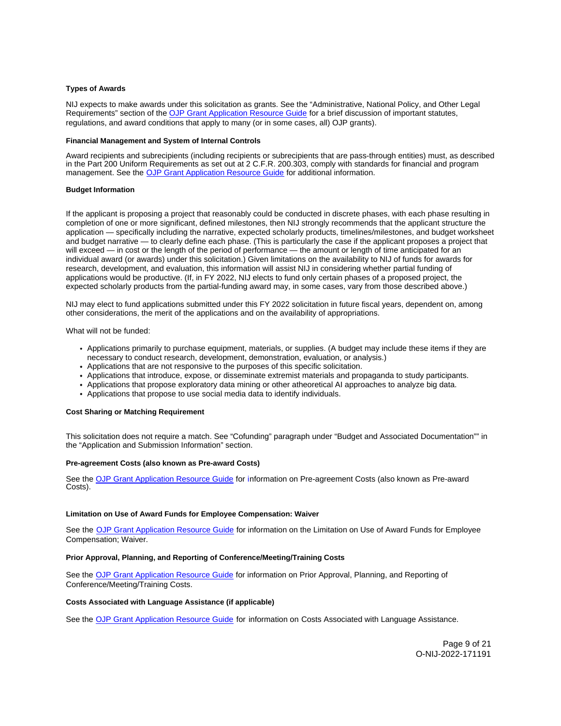## <span id="page-9-0"></span>**Types of Awards**

NIJ expects to make awards under this solicitation as grants. See the "Administrative, National Policy, and Other Legal Requirements" section of the [OJP Grant Application Resource Guide](https://www.ojp.gov/funding/apply/ojp-grant-application-resource-guide#administrative) for a brief discussion of important statutes, regulations, and award conditions that apply to many (or in some cases, all) OJP grants).

## **Financial Management and System of Internal Controls**

Award recipients and subrecipients (including recipients or subrecipients that are pass-through entities) must, as described in the Part 200 Uniform Requirements as set out at 2 C.F.R. 200.303, comply with standards for financial and program management. See the [OJP Grant Application Resource Guide](https://www.ojp.gov/funding/apply/ojp-grant-application-resource-guide#fm-internal-controls) for additional information.

#### **Budget Information**

If the applicant is proposing a project that reasonably could be conducted in discrete phases, with each phase resulting in completion of one or more significant, defined milestones, then NIJ strongly recommends that the applicant structure the application — specifically including the narrative, expected scholarly products, timelines/milestones, and budget worksheet and budget narrative — to clearly define each phase. (This is particularly the case if the applicant proposes a project that will exceed — in cost or the length of the period of performance — the amount or length of time anticipated for an individual award (or awards) under this solicitation.) Given limitations on the availability to NIJ of funds for awards for research, development, and evaluation, this information will assist NIJ in considering whether partial funding of applications would be productive. (If, in FY 2022, NIJ elects to fund only certain phases of a proposed project, the expected scholarly products from the partial-funding award may, in some cases, vary from those described above.)

NIJ may elect to fund applications submitted under this FY 2022 solicitation in future fiscal years, dependent on, among other considerations, the merit of the applications and on the availability of appropriations.

What will not be funded:

- Applications primarily to purchase equipment, materials, or supplies. (A budget may include these items if they are necessary to conduct research, development, demonstration, evaluation, or analysis.)
- Applications that are not responsive to the purposes of this specific solicitation.
- Applications that introduce, expose, or disseminate extremist materials and propaganda to study participants.
- Applications that propose exploratory data mining or other atheoretical AI approaches to analyze big data.
- Applications that propose to use social media data to identify individuals.

#### **Cost Sharing or Matching Requirement**

This solicitation does not require a match. See "Cofunding" paragraph under "Budget and Associated Documentation"" in the "Application and Submission Information" section.

#### **Pre-agreement Costs (also known as Pre-award Costs)**

See the [OJP Grant Application Resource Guide](https://www.ojp.gov/funding/apply/ojp-grant-application-resource-guide#pre-agreement-costs) for information on Pre-agreement Costs (also known as Pre-award Costs).

#### **Limitation on Use of Award Funds for Employee Compensation: Waiver**

See the [OJP Grant Application Resource Guide](https://www.ojp.gov/funding/apply/ojp-grant-application-resource-guide#limitation-use-award) for information on the Limitation on Use of Award Funds for Employee Compensation; Waiver.

#### **Prior Approval, Planning, and Reporting of Conference/Meeting/Training Costs**

See the [OJP Grant Application Resource Guide](https://www.ojp.gov/funding/apply/ojp-grant-application-resource-guide#prior-approval) for information on Prior Approval, Planning, and Reporting of Conference/Meeting/Training Costs.

### **Costs Associated with Language Assistance (if applicable)**

See the [OJP Grant Application Resource Guide](https://www.ojp.gov/funding/apply/ojp-grant-application-resource-guide#costs-associated) for information on Costs Associated with Language Assistance.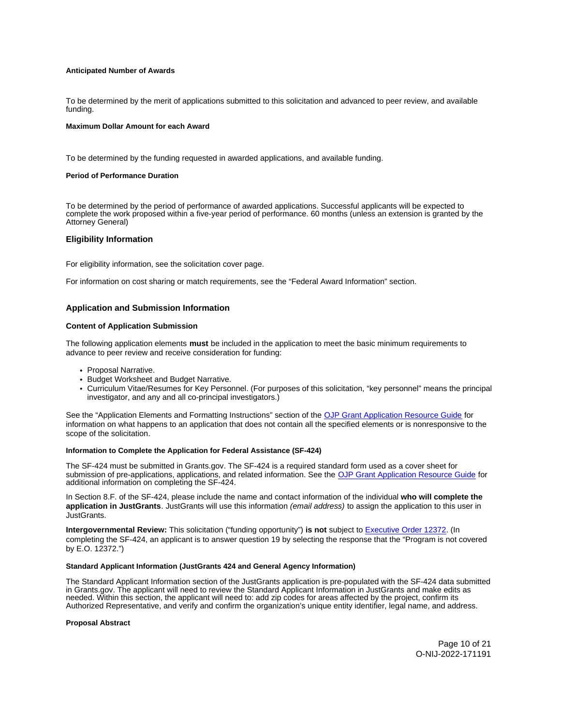## <span id="page-10-0"></span>**Anticipated Number of Awards**

To be determined by the merit of applications submitted to this solicitation and advanced to peer review, and available funding.

#### **Maximum Dollar Amount for each Award**

To be determined by the funding requested in awarded applications, and available funding.

#### **Period of Performance Duration**

To be determined by the period of performance of awarded applications. Successful applicants will be expected to complete the work proposed within a five-year period of performance. 60 months (unless an extension is granted by the Attorney General)

## **Eligibility Information**

For eligibility information, see the solicitation cover page.

For information on cost sharing or match requirements, see the "Federal Award Information" section.

## **Application and Submission Information**

## **Content of Application Submission**

The following application elements **must** be included in the application to meet the basic minimum requirements to advance to peer review and receive consideration for funding:

- Proposal Narrative.
- Budget Worksheet and Budget Narrative.
- Curriculum Vitae/Resumes for Key Personnel. (For purposes of this solicitation, "key personnel" means the principal investigator, and any and all co-principal investigators.)

See the "Application Elements and Formatting Instructions" section of the [OJP Grant Application Resource Guide](https://ojp.gov/funding/Apply/Resources/Grant-App-Resource-Guide.htm) for information on what happens to an application that does not contain all the specified elements or is nonresponsive to the scope of the solicitation.

## **Information to Complete the Application for Federal Assistance (SF-424)**

The SF-424 must be submitted in [Grants.gov](https://Grants.gov). The SF-424 is a required standard form used as a cover sheet for submission of pre-applications, applications, and related information. See the [OJP Grant Application Resource Guide](https://www.ojp.gov/funding/apply/ojp-grant-application-resource-guide#complete-application) for additional information on completing the SF-424.

In Section 8.F. of the SF-424, please include the name and contact information of the individual **who will complete the application in JustGrants**. JustGrants will use this information (email address) to assign the application to this user in JustGrants.

**Intergovernmental Review:** This solicitation ("funding opportunity") **is not** subject to [Executive Order 12372.](https://www.archives.gov/federal-register/codification/executive-order/12372.html) (In completing the SF-424, an applicant is to answer question 19 by selecting the response that the "Program is not covered by E.O. 12372.")

#### **Standard Applicant Information (JustGrants 424 and General Agency Information)**

The Standard Applicant Information section of the JustGrants application is pre-populated with the SF-424 data submitted in [Grants.gov](https://Grants.gov). The applicant will need to review the Standard Applicant Information in JustGrants and make edits as needed. Within this section, the applicant will need to: add zip codes for areas affected by the project, confirm its Authorized Representative, and verify and confirm the organization's unique entity identifier, legal name, and address.

#### **Proposal Abstract**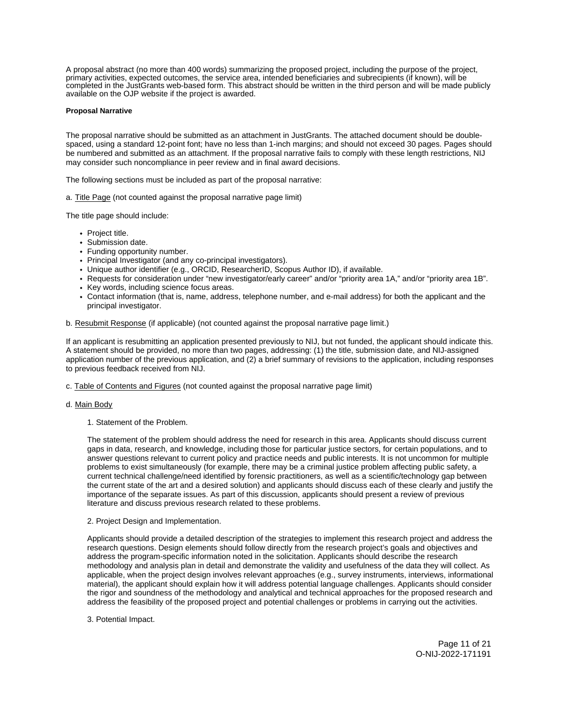<span id="page-11-0"></span>A proposal abstract (no more than 400 words) summarizing the proposed project, including the purpose of the project, primary activities, expected outcomes, the service area, intended beneficiaries and subrecipients (if known), will be completed in the JustGrants web-based form. This abstract should be written in the third person and will be made publicly available on the OJP website if the project is awarded.

## **Proposal Narrative**

The proposal narrative should be submitted as an attachment in JustGrants. The attached document should be doublespaced, using a standard 12-point font; have no less than 1-inch margins; and should not exceed 30 pages. Pages should be numbered and submitted as an attachment. If the proposal narrative fails to comply with these length restrictions, NIJ may consider such noncompliance in peer review and in final award decisions.

The following sections must be included as part of the proposal narrative:

a. Title Page (not counted against the proposal narrative page limit)

The title page should include:

- Project title.
- Submission date.
- Funding opportunity number.
- Principal Investigator (and any co-principal investigators).
- Unique author identifier (e.g., ORCID, ResearcherID, Scopus Author ID), if available.
- Requests for consideration under "new investigator/early career" and/or "priority area 1A," and/or "priority area 1B".
- Key words, including science focus areas.
- Contact information (that is, name, address, telephone number, and e-mail address) for both the applicant and the principal investigator.

b. Resubmit Response (if applicable) (not counted against the proposal narrative page limit.)

If an applicant is resubmitting an application presented previously to NIJ, but not funded, the applicant should indicate this. A statement should be provided, no more than two pages, addressing: (1) the title, submission date, and NIJ-assigned application number of the previous application, and (2) a brief summary of revisions to the application, including responses to previous feedback received from NIJ.

- c. Table of Contents and Figures (not counted against the proposal narrative page limit)
- d. Main Body
	- 1. Statement of the Problem.

The statement of the problem should address the need for research in this area. Applicants should discuss current gaps in data, research, and knowledge, including those for particular justice sectors, for certain populations, and to answer questions relevant to current policy and practice needs and public interests. It is not uncommon for multiple problems to exist simultaneously (for example, there may be a criminal justice problem affecting public safety, a current technical challenge/need identified by forensic practitioners, as well as a scientific/technology gap between the current state of the art and a desired solution) and applicants should discuss each of these clearly and justify the importance of the separate issues. As part of this discussion, applicants should present a review of previous literature and discuss previous research related to these problems.

2. Project Design and Implementation.

Applicants should provide a detailed description of the strategies to implement this research project and address the research questions. Design elements should follow directly from the research project's goals and objectives and address the program-specific information noted in the solicitation. Applicants should describe the research methodology and analysis plan in detail and demonstrate the validity and usefulness of the data they will collect. As applicable, when the project design involves relevant approaches (e.g., survey instruments, interviews, informational material), the applicant should explain how it will address potential language challenges. Applicants should consider the rigor and soundness of the methodology and analytical and technical approaches for the proposed research and address the feasibility of the proposed project and potential challenges or problems in carrying out the activities.

3. Potential Impact.

Page 11 of 21 O-NIJ-2022-171191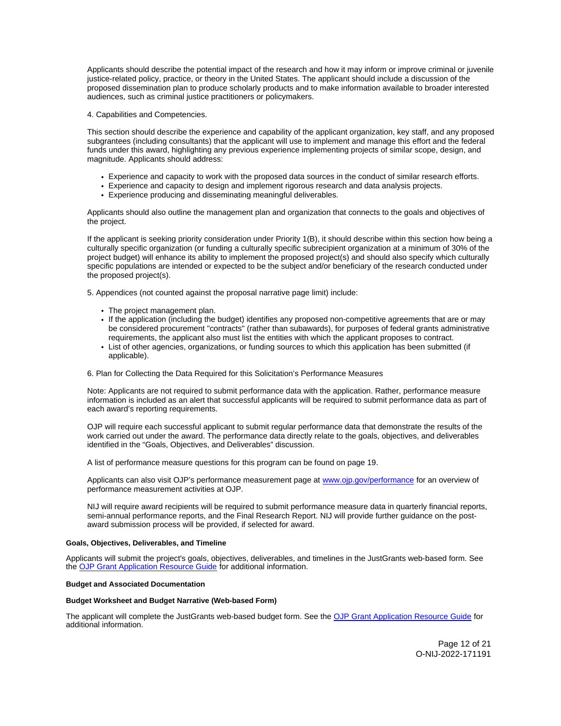<span id="page-12-0"></span>Applicants should describe the potential impact of the research and how it may inform or improve criminal or juvenile justice-related policy, practice, or theory in the United States. The applicant should include a discussion of the proposed dissemination plan to produce scholarly products and to make information available to broader interested audiences, such as criminal justice practitioners or policymakers.

4. Capabilities and Competencies.

This section should describe the experience and capability of the applicant organization, key staff, and any proposed subgrantees (including consultants) that the applicant will use to implement and manage this effort and the federal funds under this award, highlighting any previous experience implementing projects of similar scope, design, and magnitude. Applicants should address:

- Experience and capacity to work with the proposed data sources in the conduct of similar research efforts.
- Experience and capacity to design and implement rigorous research and data analysis projects.
- Experience producing and disseminating meaningful deliverables.

Applicants should also outline the management plan and organization that connects to the goals and objectives of the project.

If the applicant is seeking priority consideration under Priority 1(B), it should describe within this section how being a culturally specific organization (or funding a culturally specific subrecipient organization at a minimum of 30% of the project budget) will enhance its ability to implement the proposed project(s) and should also specify which culturally specific populations are intended or expected to be the subject and/or beneficiary of the research conducted under the proposed project(s).

5. Appendices (not counted against the proposal narrative page limit) include:

- The project management plan.
- If the application (including the budget) identifies any proposed non-competitive agreements that are or may be considered procurement "contracts" (rather than subawards), for purposes of federal grants administrative requirements, the applicant also must list the entities with which the applicant proposes to contract.
- List of other agencies, organizations, or funding sources to which this application has been submitted (if applicable).
- 6. Plan for Collecting the Data Required for this Solicitation's Performance Measures

Note: Applicants are not required to submit performance data with the application. Rather, performance measure information is included as an alert that successful applicants will be required to submit performance data as part of each award's reporting requirements.

OJP will require each successful applicant to submit regular performance data that demonstrate the results of the work carried out under the award. The performance data directly relate to the goals, objectives, and deliverables identified in the "Goals, Objectives, and Deliverables" discussion.

A list of performance measure questions for this program can be found on page 19.

Applicants can also visit OJP's performance measurement page at [www.ojp.gov/performance](https://www.ojp.gov/performance) for an overview of performance measurement activities at OJP.

NIJ will require award recipients will be required to submit performance measure data in quarterly financial reports, semi-annual performance reports, and the Final Research Report. NIJ will provide further guidance on the postaward submission process will be provided, if selected for award.

#### **Goals, Objectives, Deliverables, and Timeline**

Applicants will submit the project's goals, objectives, deliverables, and timelines in the JustGrants web-based form. See the [OJP Grant Application Resource Guide](https://www.ojp.gov/funding/apply/ojp-grant-application-resource-guide) for additional information.

## **Budget and Associated Documentation**

#### **Budget Worksheet and Budget Narrative (Web-based Form)**

The applicant will complete the JustGrants web-based budget form. See the [OJP Grant Application Resource Guide](https://www.ojp.gov/funding/apply/ojp-grant-application-resource-guide#budget-prep) for additional information.

> Page 12 of 21 O-NIJ-2022-171191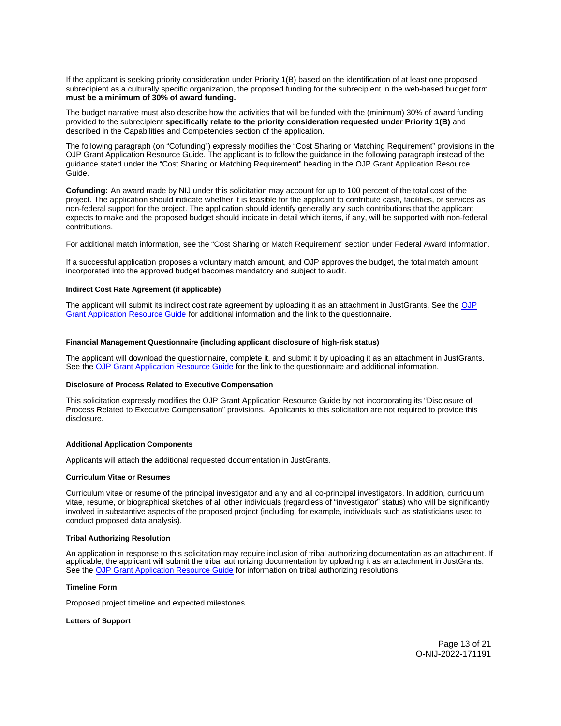<span id="page-13-0"></span>If the applicant is seeking priority consideration under Priority 1(B) based on the identification of at least one proposed subrecipient as a culturally specific organization, the proposed funding for the subrecipient in the web-based budget form **must be a minimum of 30% of award funding.** 

The budget narrative must also describe how the activities that will be funded with the (minimum) 30% of award funding provided to the subrecipient **specifically relate to the priority consideration requested under Priority 1(B)** and described in the Capabilities and Competencies section of the application.

The following paragraph (on "Cofunding") expressly modifies the "Cost Sharing or Matching Requirement" provisions in the OJP Grant Application Resource Guide. The applicant is to follow the guidance in the following paragraph instead of the guidance stated under the "Cost Sharing or Matching Requirement" heading in the OJP Grant Application Resource Guide.

**Cofunding:** An award made by NIJ under this solicitation may account for up to 100 percent of the total cost of the project. The application should indicate whether it is feasible for the applicant to contribute cash, facilities, or services as non-federal support for the project. The application should identify generally any such contributions that the applicant expects to make and the proposed budget should indicate in detail which items, if any, will be supported with non-federal contributions.

For additional match information, see the "Cost Sharing or Match Requirement" section under Federal Award Information.

If a successful application proposes a voluntary match amount, and OJP approves the budget, the total match amount incorporated into the approved budget becomes mandatory and subject to audit.

## **Indirect Cost Rate Agreement (if applicable)**

The applicant will submit its indirect cost rate agreement by uploading it as an attachment in JustGrants. See the OJP [Grant Application Resource Guide](https://www.ojp.gov/funding/apply/ojp-grant-application-resource-guide#indirect-cost) for additional information and the link to the questionnaire.

## **Financial Management Questionnaire (including applicant disclosure of high-risk status)**

The applicant will download the questionnaire, complete it, and submit it by uploading it as an attachment in JustGrants. See the [OJP Grant Application Resource Guide](https://www.ojp.gov/funding/apply/ojp-grant-application-resource-guide#fm-internal-controls-questionnaire) for the link to the questionnaire and additional information.

#### **Disclosure of Process Related to Executive Compensation**

This solicitation expressly modifies the OJP Grant Application Resource Guide by not incorporating its "Disclosure of Process Related to Executive Compensation" provisions. Applicants to this solicitation are not required to provide this disclosure.

#### **Additional Application Components**

Applicants will attach the additional requested documentation in JustGrants.

#### **Curriculum Vitae or Resumes**

Curriculum vitae or resume of the principal investigator and any and all co-principal investigators. In addition, curriculum vitae, resume, or biographical sketches of all other individuals (regardless of "investigator" status) who will be significantly involved in substantive aspects of the proposed project (including, for example, individuals such as statisticians used to conduct proposed data analysis).

## **Tribal Authorizing Resolution**

An application in response to this solicitation may require inclusion of tribal authorizing documentation as an attachment. If applicable, the applicant will submit the tribal authorizing documentation by uploading it as an attachment in JustGrants. See the [OJP Grant Application Resource Guide](https://www.ojp.gov/funding/apply/ojp-grant-application-resource-guide#tribal-authorizing-resolution) for information on tribal authorizing resolutions.

## **Timeline Form**

Proposed project timeline and expected milestones.

#### **Letters of Support**

Page 13 of 21 O-NIJ-2022-171191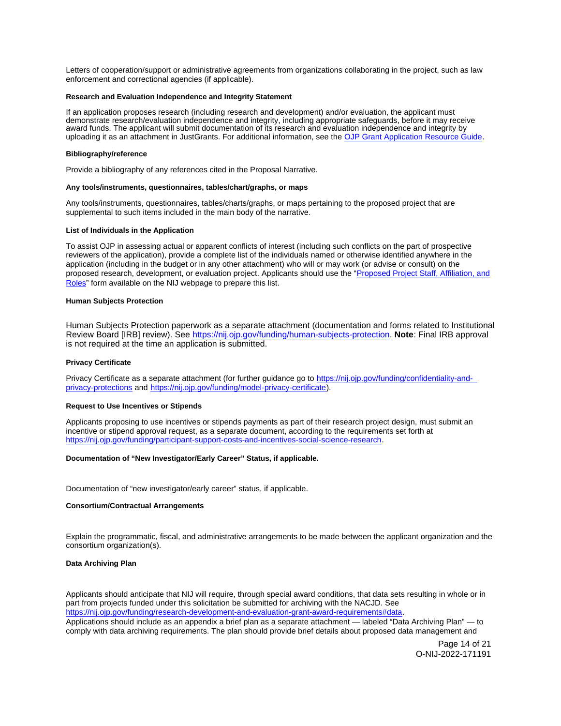<span id="page-14-0"></span>Letters of cooperation/support or administrative agreements from organizations collaborating in the project, such as law enforcement and correctional agencies (if applicable).

## **Research and Evaluation Independence and Integrity Statement**

If an application proposes research (including research and development) and/or evaluation, the applicant must demonstrate research/evaluation independence and integrity, including appropriate safeguards, before it may receive award funds. The applicant will submit documentation of its research and evaluation independence and integrity by uploading it as an attachment in JustGrants. For additional information, see the [OJP Grant Application Resource Guide.](https://www.ojp.gov/funding/apply/ojp-grant-application-resource-guide#research-evaluation)

#### **Bibliography/reference**

Provide a bibliography of any references cited in the Proposal Narrative.

#### **Any tools/instruments, questionnaires, tables/chart/graphs, or maps**

Any tools/instruments, questionnaires, tables/charts/graphs, or maps pertaining to the proposed project that are supplemental to such items included in the main body of the narrative.

## **List of Individuals in the Application**

To assist OJP in assessing actual or apparent conflicts of interest (including such conflicts on the part of prospective reviewers of the application), provide a complete list of the individuals named or otherwise identified anywhere in the application (including in the budget or in any other attachment) who will or may work (or advise or consult) on the proposed research, development, or evaluation project. Applicants should use the ["Proposed Project Staff, Affiliation, and](http://nij.ojp.gov/sites/g/files/xyckuh171/files/media/document/nij-project-staff-template.xlsx)  [Roles"](http://nij.ojp.gov/sites/g/files/xyckuh171/files/media/document/nij-project-staff-template.xlsx) form available on the NIJ webpage to prepare this list.

## **Human Subjects Protection**

Human Subjects Protection paperwork as a separate attachment (documentation and forms related to Institutional Review Board [IRB] review). See [https://nij.ojp.gov/funding/human-subjects-protection.](https://nij.ojp.gov/funding/human-subjects-protection) **Note**: Final IRB approval is not required at the time an application is submitted.

## **Privacy Certificate**

Privacy Certificate as a separate attachment (for further guidance go to [https://nij.ojp.gov/funding/confidentiality-and](https://nij.ojp.gov/funding/confidentiality-and-privacy-protections)[privacy-protections](https://nij.ojp.gov/funding/confidentiality-and-privacy-protections) and [https://nij.ojp.gov/funding/model-privacy-certificate\)](https://nij.ojp.gov/funding/model-privacy-certificate).

#### **Request to Use Incentives or Stipends**

Applicants proposing to use incentives or stipends payments as part of their research project design, must submit an incentive or stipend approval request, as a separate document, according to the requirements set forth at [https://nij.ojp.gov/funding/participant-support-costs-and-incentives-social-science-research.](https://nij.ojp.gov/funding/participant-support-costs-and-incentives-social-science-research)

## **Documentation of "New Investigator/Early Career" Status, if applicable.**

Documentation of "new investigator/early career" status, if applicable.

#### **Consortium/Contractual Arrangements**

Explain the programmatic, fiscal, and administrative arrangements to be made between the applicant organization and the consortium organization(s).

#### **Data Archiving Plan**

Applicants should anticipate that NIJ will require, through special award conditions, that data sets resulting in whole or in part from projects funded under this solicitation be submitted for archiving with the NACJD. See [https://nij.ojp.gov/funding/research-development-and-evaluation-grant-award-requirements#data.](https://nij.ojp.gov/funding/research-development-and-evaluation-grant-award-requirements#data)

Applications should include as an appendix a brief plan as a separate attachment — labeled "Data Archiving Plan" — to comply with data archiving requirements. The plan should provide brief details about proposed data management and

> Page 14 of 21 O-NIJ-2022-171191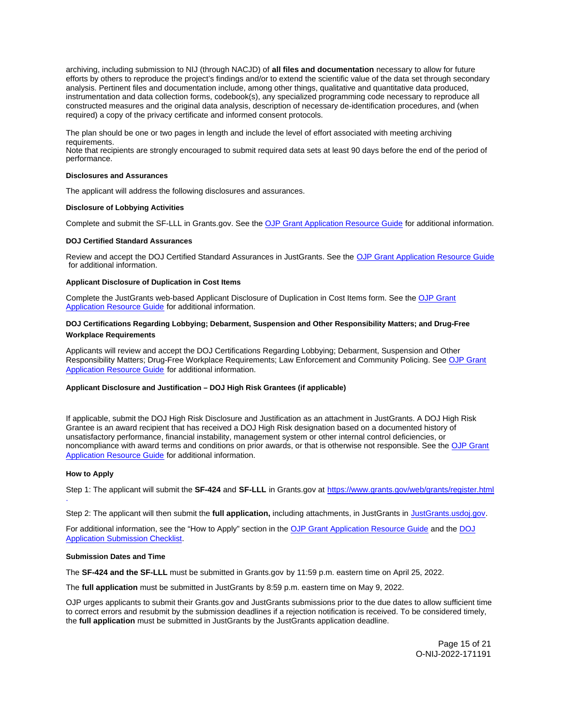<span id="page-15-0"></span>archiving, including submission to NIJ (through NACJD) of **all files and documentation** necessary to allow for future efforts by others to reproduce the project's findings and/or to extend the scientific value of the data set through secondary analysis. Pertinent files and documentation include, among other things, qualitative and quantitative data produced, instrumentation and data collection forms, codebook(s), any specialized programming code necessary to reproduce all constructed measures and the original data analysis, description of necessary de-identification procedures, and (when required) a copy of the privacy certificate and informed consent protocols.

The plan should be one or two pages in length and include the level of effort associated with meeting archiving requirements.

Note that recipients are strongly encouraged to submit required data sets at least 90 days before the end of the period of performance.

## **Disclosures and Assurances**

The applicant will address the following disclosures and assurances.

## **Disclosure of Lobbying Activities**

Complete and submit the SF-LLL in [Grants.gov](https://Grants.gov). See the [OJP Grant Application Resource Guide](https://www.ojp.gov/funding/apply/ojp-grant-application-resource-guide#disclosure-lobby) for additional information.

## **DOJ Certified Standard Assurances**

Review and accept the DOJ Certified Standard Assurances in JustGrants. See the [OJP Grant Application Resource Guide](https://www.ojp.gov/funding/apply/ojp-grant-application-resource-guide#administrative)  for additional information.

## **Applicant Disclosure of Duplication in Cost Items**

Complete the JustGrants web-based Applicant Disclosure of Duplication in Cost Items form. See the [OJP Grant](https://www.ojp.gov/funding/apply/ojp-grant-application-resource-guide#applicant-disclosure-pending-applications)  [Application Resource Guide](https://www.ojp.gov/funding/apply/ojp-grant-application-resource-guide#applicant-disclosure-pending-applications) for additional information.

## **DOJ Certifications Regarding Lobbying; Debarment, Suspension and Other Responsibility Matters; and Drug-Free Workplace Requirements**

Applicants will review and accept the DOJ Certifications Regarding Lobbying; Debarment, Suspension and Other Responsibility Matters; Drug-Free Workplace Requirements; Law Enforcement and Community Policing. See [OJP Grant](https://www.ojp.gov/funding/apply/ojp-grant-application-resource-guide)  [Application Resource Guide](https://www.ojp.gov/funding/apply/ojp-grant-application-resource-guide) for additional information.

## **Applicant Disclosure and Justification – DOJ High Risk Grantees (if applicable)**

If applicable, submit the DOJ High Risk Disclosure and Justification as an attachment in JustGrants. A DOJ High Risk Grantee is an award recipient that has received a DOJ High Risk designation based on a documented history of unsatisfactory performance, financial instability, management system or other internal control deficiencies, or noncompliance with award terms and conditions on prior awards, or that is otherwise not responsible. See the [OJP Grant](https://www.ojp.gov/funding/apply/ojp-grant-application-resource-guide)  [Application Resource Guide](https://www.ojp.gov/funding/apply/ojp-grant-application-resource-guide) for additional information.

#### **How to Apply**

Step 1: The applicant will submit the **SF-424** and **SF-LLL** in [Grants.gov](https://Grants.gov) at <https://www.grants.gov/web/grants/register.html> .

Step 2: The applicant will then submit the **full application,** including attachments, in JustGrants in [JustGrants.usdoj.gov.](https://justicegrants.usdoj.gov/)

For additional information, see the "How to Apply" section in the [OJP Grant Application Resource Guide](https://www.ojp.gov/funding/apply/ojp-grant-application-resource-guide#apply) and the [DOJ](https://justicegrants.usdoj.gov/sites/g/files/xyckuh296/files/media/document/appln-submission-checklist.pdf)  [Application Submission Checklist.](https://justicegrants.usdoj.gov/sites/g/files/xyckuh296/files/media/document/appln-submission-checklist.pdf)

#### **Submission Dates and Time**

The **SF-424 and the SF-LLL** must be submitted in [Grants.gov](https://Grants.gov) by 11:59 p.m. eastern time on April 25, 2022.

The **full application** must be submitted in JustGrants by 8:59 p.m. eastern time on May 9, 2022.

OJP urges applicants to submit their [Grants.gov](https://Grants.gov) and JustGrants submissions prior to the due dates to allow sufficient time to correct errors and resubmit by the submission deadlines if a rejection notification is received. To be considered timely, the **full application** must be submitted in JustGrants by the JustGrants application deadline.

> Page 15 of 21 O-NIJ-2022-171191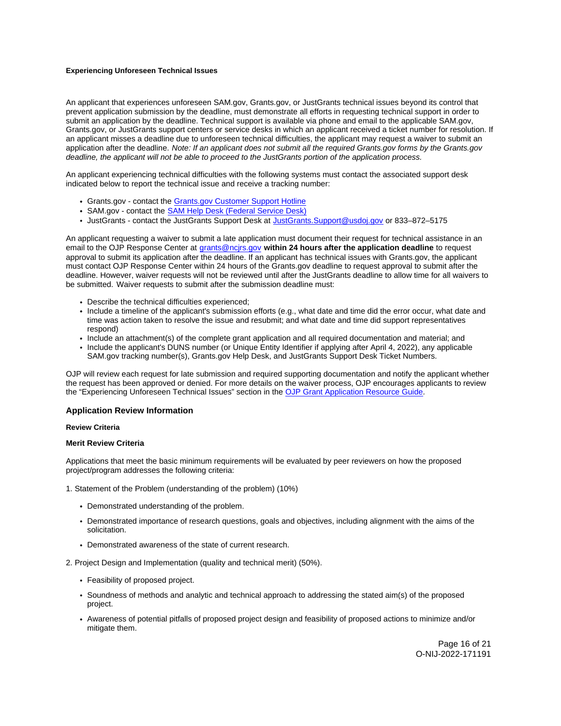## <span id="page-16-0"></span>**Experiencing Unforeseen Technical Issues**

An applicant that experiences unforeseen SAM.gov, [Grants.gov](https://Grants.gov), or JustGrants technical issues beyond its control that prevent application submission by the deadline, must demonstrate all efforts in requesting technical support in order to submit an application by the deadline. Technical support is available via phone and email to the applicable SAM.gov, [Grants.gov](https://Grants.gov), or JustGrants support centers or service desks in which an applicant received a ticket number for resolution. If an applicant misses a deadline due to unforeseen technical difficulties, the applicant may request a waiver to submit an application after the deadline. Note: If an applicant does not submit all the required [Grants.gov](https://Grants.gov) forms by the [Grants.gov](https://Grants.gov) deadline, the applicant will not be able to proceed to the JustGrants portion of the application process.

An applicant experiencing technical difficulties with the following systems must contact the associated support desk indicated below to report the technical issue and receive a tracking number:

- [Grants.gov](https://Grants.gov)  contact the [Grants.gov Customer Support Hotline](https://www.grants.gov/web/grants/support.html)
- SAM.gov contact the [SAM Help Desk \(Federal Service Desk\)](https://www.fsd.gov/gsafsd_sp)
- JustGrants contact the JustGrants Support Desk at [JustGrants.Support@usdoj.gov](mailto:JustGrants.Support@usdoj.gov) or 833–872–5175

An applicant requesting a waiver to submit a late application must document their request for technical assistance in an email to the OJP Response Center at [grants@ncjrs.gov](file:///C:/Users/local_Yehj/INetCache/Content.Outlook/20U4XBR7/grants@ncjrs.gov) **within 24 hours after the application deadline** to request approval to submit its application after the deadline. If an applicant has technical issues with [Grants.gov,](https://Grants.gov) the applicant must contact OJP Response Center within 24 hours of the [Grants.gov](https://Grants.gov) deadline to request approval to submit after the deadline. However, waiver requests will not be reviewed until after the JustGrants deadline to allow time for all waivers to be submitted. Waiver requests to submit after the submission deadline must:

- Describe the technical difficulties experienced;
- Include a timeline of the applicant's submission efforts (e.g., what date and time did the error occur, what date and time was action taken to resolve the issue and resubmit; and what date and time did support representatives respond)
- Include an attachment(s) of the complete grant application and all required documentation and material; and
- Include the applicant's DUNS number (or Unique Entity Identifier if applying after April 4, 2022), any applicable SAM.gov tracking number(s), [Grants.gov](https://Grants.gov) Help Desk, and JustGrants Support Desk Ticket Numbers.

OJP will review each request for late submission and required supporting documentation and notify the applicant whether the request has been approved or denied. For more details on the waiver process, OJP encourages applicants to review the "Experiencing Unforeseen Technical Issues" section in the [OJP Grant Application Resource Guide](https://www.ojp.gov/funding/apply/ojp-grant-application-resource-guide#experiencing-unforeseen-technical-issues).

## **Application Review Information**

#### **Review Criteria**

#### **Merit Review Criteria**

Applications that meet the basic minimum requirements will be evaluated by peer reviewers on how the proposed project/program addresses the following criteria:

1. Statement of the Problem (understanding of the problem) (10%)

- Demonstrated understanding of the problem.
- Demonstrated importance of research questions, goals and objectives, including alignment with the aims of the solicitation.
- Demonstrated awareness of the state of current research.

2. Project Design and Implementation (quality and technical merit) (50%).

- Feasibility of proposed project.
- Soundness of methods and analytic and technical approach to addressing the stated aim(s) of the proposed project.
- Awareness of potential pitfalls of proposed project design and feasibility of proposed actions to minimize and/or mitigate them.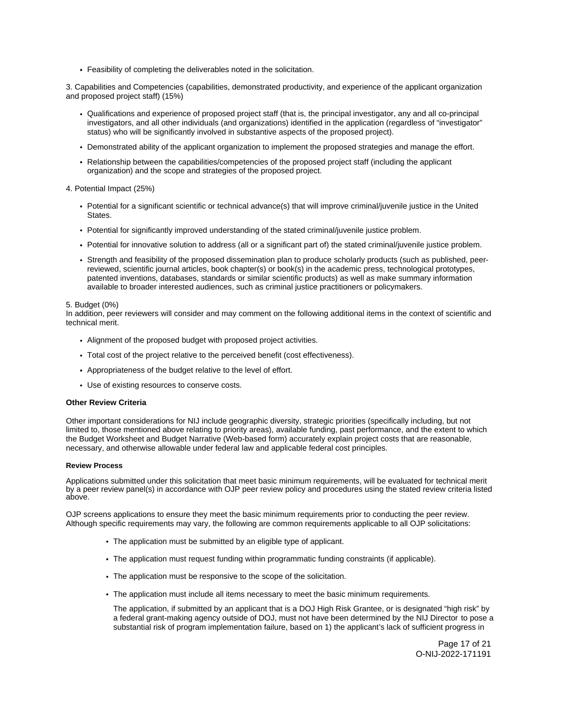<span id="page-17-0"></span>Feasibility of completing the deliverables noted in the solicitation.

3. Capabilities and Competencies (capabilities, demonstrated productivity, and experience of the applicant organization and proposed project staff) (15%)

- Qualifications and experience of proposed project staff (that is, the principal investigator, any and all co-principal investigators, and all other individuals (and organizations) identified in the application (regardless of "investigator" status) who will be significantly involved in substantive aspects of the proposed project).
- Demonstrated ability of the applicant organization to implement the proposed strategies and manage the effort.
- Relationship between the capabilities/competencies of the proposed project staff (including the applicant organization) and the scope and strategies of the proposed project.

## 4. Potential Impact (25%)

- Potential for a significant scientific or technical advance(s) that will improve criminal/juvenile justice in the United States.
- Potential for significantly improved understanding of the stated criminal/juvenile justice problem.
- Potential for innovative solution to address (all or a significant part of) the stated criminal/juvenile justice problem.
- Strength and feasibility of the proposed dissemination plan to produce scholarly products (such as published, peerreviewed, scientific journal articles, book chapter(s) or book(s) in the academic press, technological prototypes, patented inventions, databases, standards or similar scientific products) as well as make summary information available to broader interested audiences, such as criminal justice practitioners or policymakers.

## 5. Budget (0%)

In addition, peer reviewers will consider and may comment on the following additional items in the context of scientific and technical merit.

- Alignment of the proposed budget with proposed project activities.
- Total cost of the project relative to the perceived benefit (cost effectiveness).
- Appropriateness of the budget relative to the level of effort.
- Use of existing resources to conserve costs.

#### **Other Review Criteria**

Other important considerations for NIJ include geographic diversity, strategic priorities (specifically including, but not limited to, those mentioned above relating to priority areas), available funding, past performance, and the extent to which the Budget Worksheet and Budget Narrative (Web-based form) accurately explain project costs that are reasonable, necessary, and otherwise allowable under federal law and applicable federal cost principles.

## **Review Process**

Applications submitted under this solicitation that meet basic minimum requirements, will be evaluated for technical merit by a peer review panel(s) in accordance with OJP peer review policy and procedures using the stated review criteria listed above.

OJP screens applications to ensure they meet the basic minimum requirements prior to conducting the peer review. Although specific requirements may vary, the following are common requirements applicable to all OJP solicitations:

- The application must be submitted by an eligible type of applicant.
- The application must request funding within programmatic funding constraints (if applicable).
- The application must be responsive to the scope of the solicitation.
- The application must include all items necessary to meet the basic minimum requirements.

The application, if submitted by an applicant that is a DOJ High Risk Grantee, or is designated "high risk" by a federal grant-making agency outside of DOJ, must not have been determined by the NIJ Director to pose a substantial risk of program implementation failure, based on 1) the applicant's lack of sufficient progress in

> Page 17 of 21 O-NIJ-2022-171191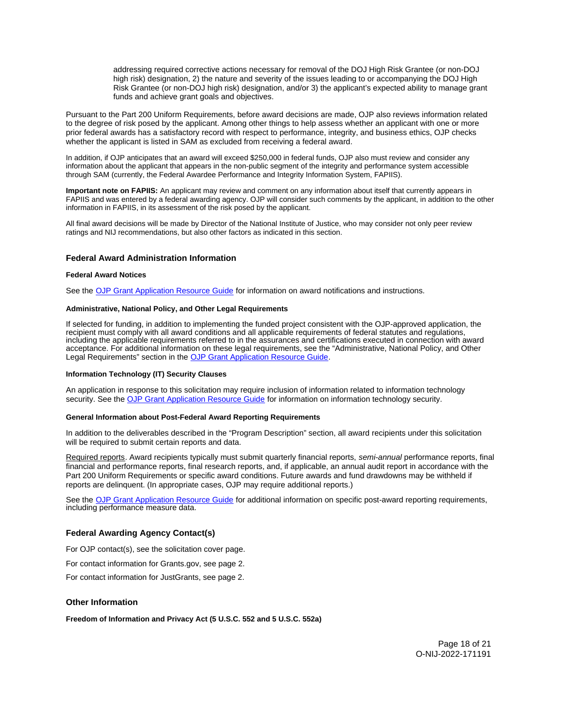addressing required corrective actions necessary for removal of the DOJ High Risk Grantee (or non-DOJ high risk) designation, 2) the nature and severity of the issues leading to or accompanying the DOJ High Risk Grantee (or non-DOJ high risk) designation, and/or 3) the applicant's expected ability to manage grant funds and achieve grant goals and objectives.

<span id="page-18-0"></span>Pursuant to the Part 200 Uniform Requirements, before award decisions are made, OJP also reviews information related to the degree of risk posed by the applicant. Among other things to help assess whether an applicant with one or more prior federal awards has a satisfactory record with respect to performance, integrity, and business ethics, OJP checks whether the applicant is listed in SAM as excluded from receiving a federal award.

In addition, if OJP anticipates that an award will exceed \$250,000 in federal funds, OJP also must review and consider any information about the applicant that appears in the non-public segment of the integrity and performance system accessible through SAM (currently, the Federal Awardee Performance and Integrity Information System, FAPIIS).

**Important note on FAPIIS:** An applicant may review and comment on any information about itself that currently appears in FAPIIS and was entered by a federal awarding agency. OJP will consider such comments by the applicant, in addition to the other information in FAPIIS, in its assessment of the risk posed by the applicant.

All final award decisions will be made by Director of the National Institute of Justice, who may consider not only peer review ratings and NIJ recommendations, but also other factors as indicated in this section.

## **Federal Award Administration Information**

#### **Federal Award Notices**

See the [OJP Grant Application Resource Guide](https://www.ojp.gov/funding/apply/ojp-grant-application-resource-guide#federal-award-notices) for information on award notifications and instructions.

#### **Administrative, National Policy, and Other Legal Requirements**

If selected for funding, in addition to implementing the funded project consistent with the OJP-approved application, the recipient must comply with all award conditions and all applicable requirements of federal statutes and regulations, including the applicable requirements referred to in the assurances and certifications executed in connection with award acceptance. For additional information on these legal requirements, see the "Administrative, National Policy, and Other Legal Requirements" section in the [OJP Grant Application Resource Guide.](https://www.ojp.gov/funding/apply/ojp-grant-application-resource-guide#administrative)

#### **Information Technology (IT) Security Clauses**

An application in response to this solicitation may require inclusion of information related to information technology security. See the [OJP Grant Application Resource Guide](https://www.ojp.gov/funding/apply/ojp-grant-application-resource-guide#information-technology) for information on information technology security.

## **General Information about Post-Federal Award Reporting Requirements**

In addition to the deliverables described in the "Program Description" section, all award recipients under this solicitation will be required to submit certain reports and data.

Required reports. Award recipients typically must submit quarterly financial reports, semi-annual performance reports, final financial and performance reports, final research reports, and, if applicable, an annual audit report in accordance with the Part 200 Uniform Requirements or specific award conditions. Future awards and fund drawdowns may be withheld if reports are delinquent. (In appropriate cases, OJP may require additional reports.)

See the [OJP Grant Application Resource Guide](https://www.ojp.gov/funding/apply/ojp-grant-application-resource-guide#general-information) for additional information on specific post-award reporting requirements, including performance measure data.

## **Federal Awarding Agency Contact(s)**

For OJP contact(s), see the solicitation cover page.

For contact information for [Grants.gov](https://Grants.gov), see page 2.

For contact information for JustGrants, see page 2.

## **Other Information**

**Freedom of Information and Privacy Act (5 U.S.C. 552 and 5 U.S.C. 552a)**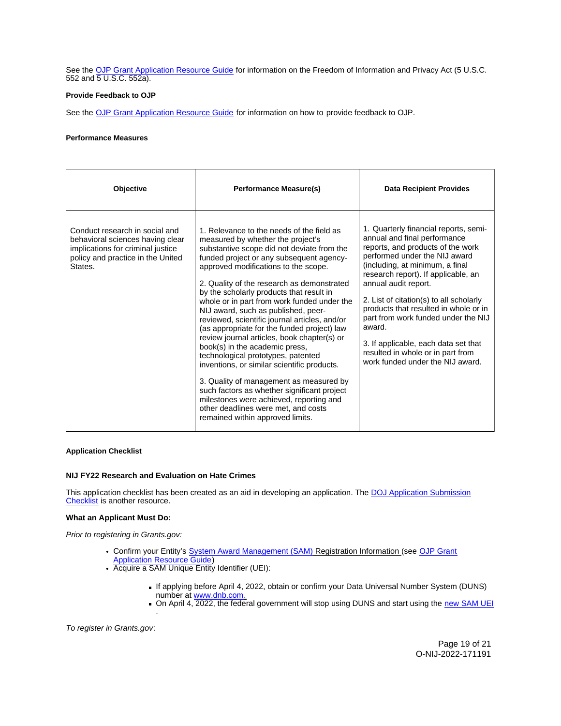<span id="page-19-0"></span>See the [OJP Grant Application Resource Guide](https://www.ojp.gov/funding/apply/ojp-grant-application-resource-guide#foia) for information on the Freedom of Information and Privacy Act (5 U.S.C. 552 and 5 U.S.C. 552a).

## **Provide Feedback to OJP**

See the [OJP Grant Application Resource Guide](https://www.ojp.gov/funding/apply/ojp-grant-application-resource-guide#feedback) for information on how to provide feedback to OJP.

## **Performance Measures**

| <b>Objective</b>                                                                                                                                        | <b>Performance Measure(s)</b>                                                                                                                                                                                                                                                                                                                                                                                                                                                                                                                                                                                                                                                                                                                                                                                                                                                          | <b>Data Recipient Provides</b>                                                                                                                                                                                                                                                                                                                                                                                                                                                                      |
|---------------------------------------------------------------------------------------------------------------------------------------------------------|----------------------------------------------------------------------------------------------------------------------------------------------------------------------------------------------------------------------------------------------------------------------------------------------------------------------------------------------------------------------------------------------------------------------------------------------------------------------------------------------------------------------------------------------------------------------------------------------------------------------------------------------------------------------------------------------------------------------------------------------------------------------------------------------------------------------------------------------------------------------------------------|-----------------------------------------------------------------------------------------------------------------------------------------------------------------------------------------------------------------------------------------------------------------------------------------------------------------------------------------------------------------------------------------------------------------------------------------------------------------------------------------------------|
| Conduct research in social and<br>behavioral sciences having clear<br>implications for criminal justice<br>policy and practice in the United<br>States. | 1. Relevance to the needs of the field as<br>measured by whether the project's<br>substantive scope did not deviate from the<br>funded project or any subsequent agency-<br>approved modifications to the scope.<br>2. Quality of the research as demonstrated<br>by the scholarly products that result in<br>whole or in part from work funded under the<br>NIJ award, such as published, peer-<br>reviewed, scientific journal articles, and/or<br>(as appropriate for the funded project) law<br>review journal articles, book chapter(s) or<br>book(s) in the academic press,<br>technological prototypes, patented<br>inventions, or similar scientific products.<br>3. Quality of management as measured by<br>such factors as whether significant project<br>milestones were achieved, reporting and<br>other deadlines were met, and costs<br>remained within approved limits. | 1. Quarterly financial reports, semi-<br>annual and final performance<br>reports, and products of the work<br>performed under the NIJ award<br>(including, at minimum, a final<br>research report). If applicable, an<br>annual audit report.<br>2. List of citation(s) to all scholarly<br>products that resulted in whole or in<br>part from work funded under the NIJ<br>award.<br>3. If applicable, each data set that<br>resulted in whole or in part from<br>work funded under the NIJ award. |

## **Application Checklist**

## **NIJ FY22 Research and Evaluation on Hate Crimes**

This application checklist has been created as an aid in developing an application. The DOJ Application Submission [Checklist](https://justicegrants.usdoj.gov/sites/g/files/xyckuh296/files/media/document/appln-submission-checklist.pdf) is another resource.

## **What an Applicant Must Do:**

Prior to registering in [Grants.gov](https://Grants.gov):

- Confirm your Entity's [System Award Management \(SAM\)](https://sam.gov/SAM/) Registration Information (see [OJP Grant](https://www.ojp.gov/funding/apply/ojp-grant-application-resource-guide#apply)  [Application Resource Guide\)](https://www.ojp.gov/funding/apply/ojp-grant-application-resource-guide#apply)
- Acquire a SAM Unique Entity Identifier (UEI):
	- If applying before April 4, 2022, obtain or confirm your Data Universal Number System (DUNS) number at [www.dnb.com.](http://www.dnb.com)
	- On April 4, 2022, the federal government will stop using DUNS and start using the new SAM UEI .

To register in [Grants.gov](https://Grants.gov):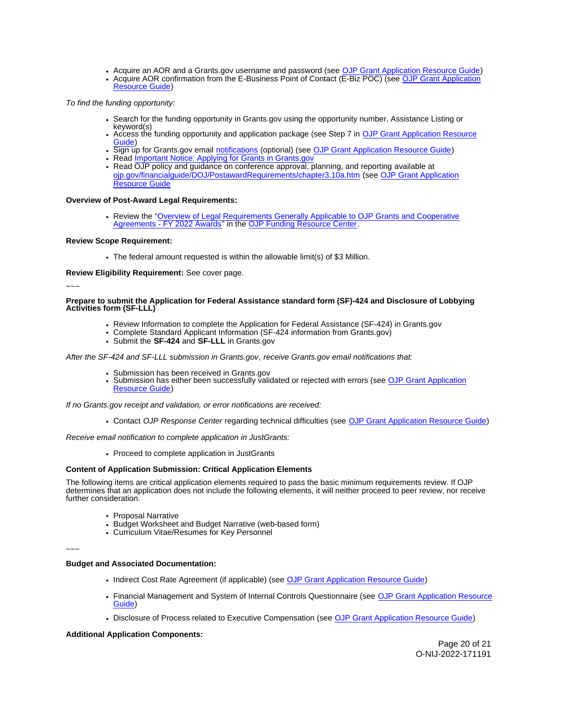Acquire an AOR and a [Grants.gov](https://Grants.gov) username and password (see [OJP Grant Application Resource Guide\)](https://www.ojp.gov/funding/apply/ojp-grant-application-resource-guide#apply) Acquire AOR confirmation from the E-Business Point of Contact (E-Biz POC) (see OJP Grant Application [Resource Guide\)](https://www.ojp.gov/funding/apply/ojp-grant-application-resource-guide#apply)

To find the funding opportunity:

- Search for the funding opportunity in [Grants.gov](https://Grants.gov) using the opportunity number, Assistance Listing or keyword(s)
- Access the funding opportunity and application package (see Step 7 in [OJP Grant Application Resource](https://www.ojp.gov/funding/apply/ojp-grant-application-resource-guide#apply)  [Guide\)](https://www.ojp.gov/funding/apply/ojp-grant-application-resource-guide#apply)
- Sign up for [Grants.gov](https://Grants.gov) email [notifications](https://www.grants.gov/web/grants/manage-subscriptions.html) (optional) (see [OJP Grant Application Resource Guide\)](https://www.ojp.gov/funding/apply/ojp-grant-application-resource-guide#apply)
- Read Important Notice: Applying for Grants in Grants.gov
- Read OJP policy and guidance on conference approval, planning, and reporting available at [ojp.gov/financialguide/DOJ/PostawardRequirements/chapter3.10a.htm](https://ojp.gov/financialguide/DOJ/PostawardRequirements/chapter3.10a.htm) (see [OJP Grant Application](https://www.ojp.gov/funding/apply/ojp-grant-application-resource-guide#prior-approval)  [Resource Guide](https://www.ojp.gov/funding/apply/ojp-grant-application-resource-guide#prior-approval)

## **Overview of Post-Award Legal Requirements:**

Review the "[Overview of Legal Requirements Generally Applicable to OJP Grants and Cooperative](https://www.ojp.gov/funding/explore/legal-overview-awards)  [Agreements - FY 2022 Awards"](https://www.ojp.gov/funding/explore/legal-overview-awards) in the [OJP Funding Resource Center.](https://www.ojp.gov/funding/explore/legal-overview-awards)

## **Review Scope Requirement:**

The federal amount requested is within the allowable limit(s) of \$3 Million.

**Review Eligibility Requirement:** See cover page.

~~~

**Prepare to submit the Application for Federal Assistance standard form (SF)-424 and Disclosure of Lobbying Activities form (SF-LLL)** 

- Review Information to complete the Application for Federal Assistance (SF-424) in [Grants.gov](https://Grants.gov)
- Complete Standard Applicant Information (SF-424 information from [Grants.gov\)](https://Grants.gov)
	- Submit the **SF-424** and **SF-LLL** in [Grants.gov](https://Grants.gov)

After the SF-424 and SF-LLL submission in [Grants.gov](https://Grants.gov), receive [Grants.gov](https://Grants.gov) email notifications that:

- 
- Submission has been received in [Grants.gov](https://Grants.gov)<br>Submission has either been succ[essfully valid](https://Grants.gov)ated or rejected with errors (see OJP Grant Application [Resource Guide\)](https://www.ojp.gov/funding/apply/ojp-grant-application-resource-guide#apply)

If no [Grants.gov](https://Grants.gov) receipt and validation, or error notifications are received:

Contact OJP Response Center regarding technical difficulties (see [OJP Grant Application Resource Guide\)](https://www.ojp.gov/funding/apply/ojp-grant-application-resource-guide#apply)

Receive email notification to complete application in JustGrants:

Proceed to complete application in JustGrants

## **Content of Application Submission: Critical Application Elements**

The following items are critical application elements required to pass the basic minimum requirements review. If OJP determines that an application does not include the following elements, it will neither proceed to peer review, nor receive further consideration.

- Proposal Narrative
- Budget Worksheet and Budget Narrative (web-based form)
- Curriculum Vitae/Resumes for Key Personnel

~~~

## **Budget and Associated Documentation:**

- Indirect Cost Rate Agreement (if applicable) (see [OJP Grant Application Resource Guide\)](https://www.ojp.gov/funding/apply/ojp-grant-application-resource-guide#indirect-cost)
- Financial Management and System of Internal Controls Questionnaire (see [OJP Grant Application Resource](https://www.ojp.gov/funding/apply/ojp-grant-application-resource-guide#fm-internal-controls-questionnaire)  [Guide\)](https://www.ojp.gov/funding/apply/ojp-grant-application-resource-guide#fm-internal-controls-questionnaire)
- Disclosure of Process related to Executive Compensation (see [OJP Grant Application Resource Guide\)](https://www.ojp.gov/funding/apply/ojp-grant-application-resource-guide#disclosure-process-executive)

## **Additional Application Components:**